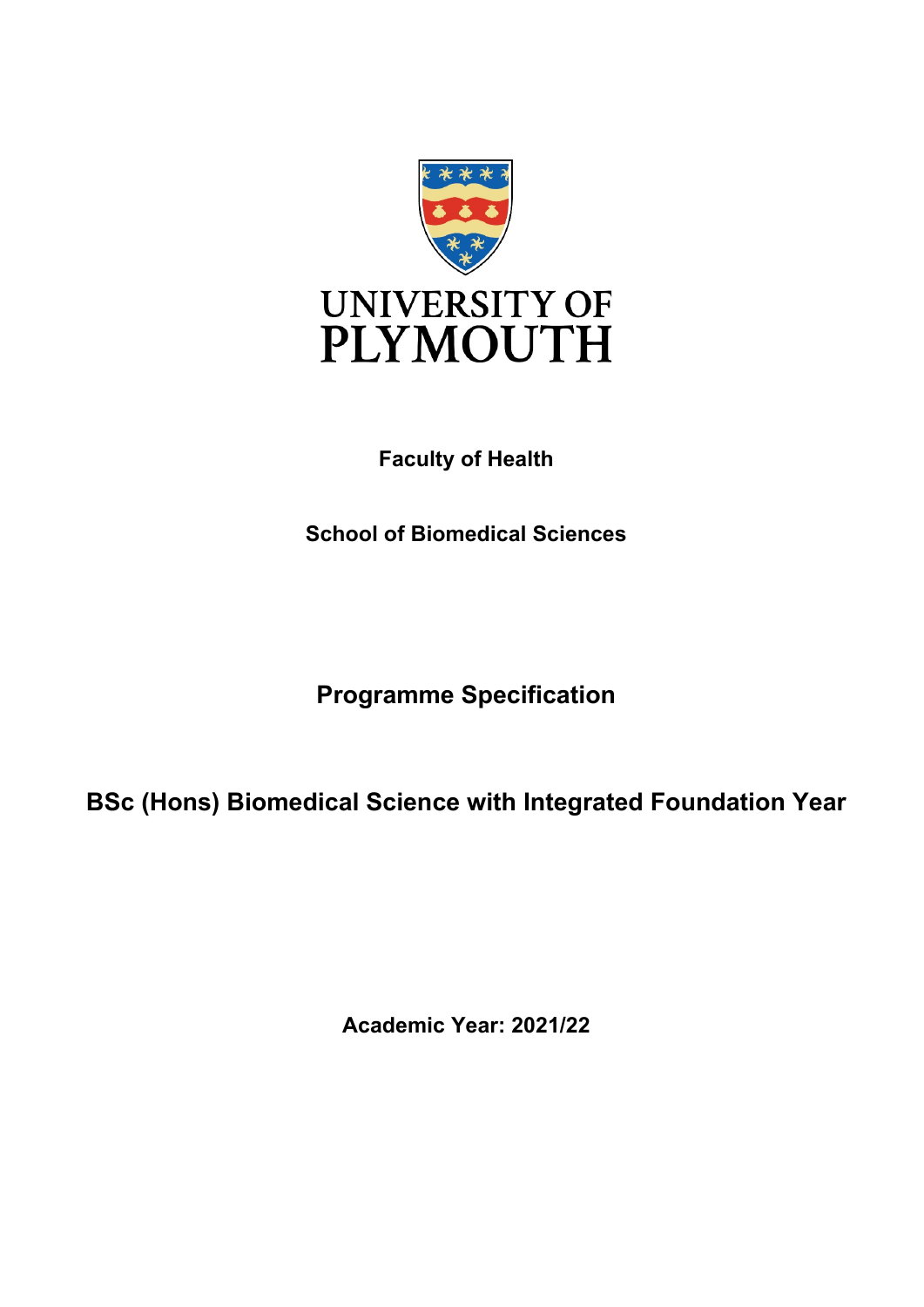

# **Faculty of Health**

**School of Biomedical Sciences**

**Programme Specification**

**BSc (Hons) Biomedical Science with Integrated Foundation Year** 

**Academic Year: 2021/22**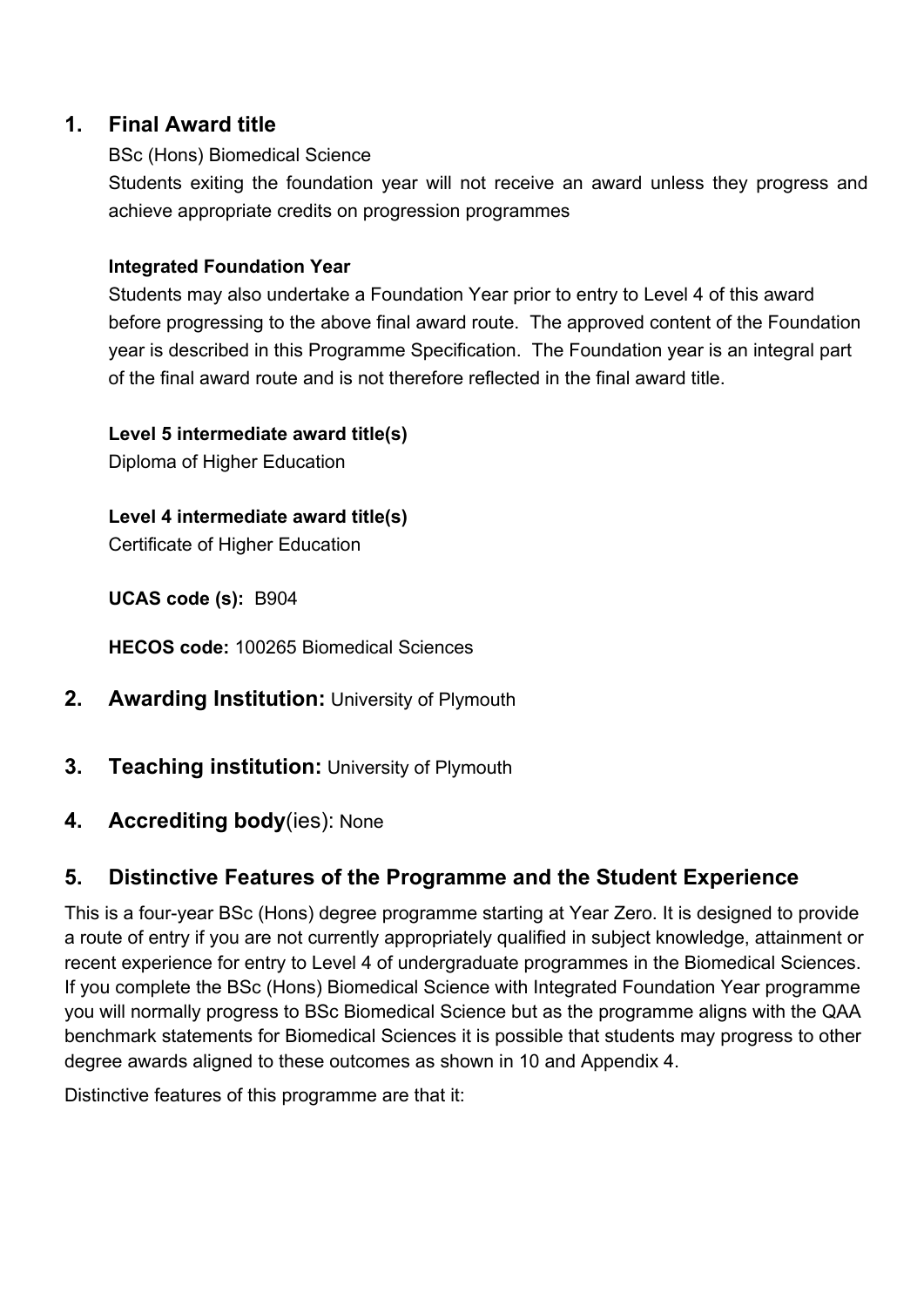## **1. Final Award title**

### BSc (Hons) Biomedical Science

Students exiting the foundation year will not receive an award unless they progress and achieve appropriate credits on progression programmes

### **Integrated Foundation Year**

Students may also undertake a Foundation Year prior to entry to Level 4 of this award before progressing to the above final award route. The approved content of the Foundation year is described in this Programme Specification. The Foundation year is an integral part of the final award route and is not therefore reflected in the final award title.

**Level 5 intermediate award title(s)**

Diploma of Higher Education

**Level 4 intermediate award title(s)** Certificate of Higher Education

**UCAS code (s):** B904

**HECOS code:** 100265 Biomedical Sciences

- **2. Awarding Institution:** University of Plymouth
- **3. Teaching institution:** University of Plymouth
- **4. Accrediting body**(ies): None

## **5. Distinctive Features of the Programme and the Student Experience**

This is a four-year BSc (Hons) degree programme starting at Year Zero. It is designed to provide a route of entry if you are not currently appropriately qualified in subject knowledge, attainment or recent experience for entry to Level 4 of undergraduate programmes in the Biomedical Sciences. If you complete the BSc (Hons) Biomedical Science with Integrated Foundation Year programme you will normally progress to BSc Biomedical Science but as the programme aligns with the QAA benchmark statements for Biomedical Sciences it is possible that students may progress to other degree awards aligned to these outcomes as shown in 10 and Appendix 4.

Distinctive features of this programme are that it: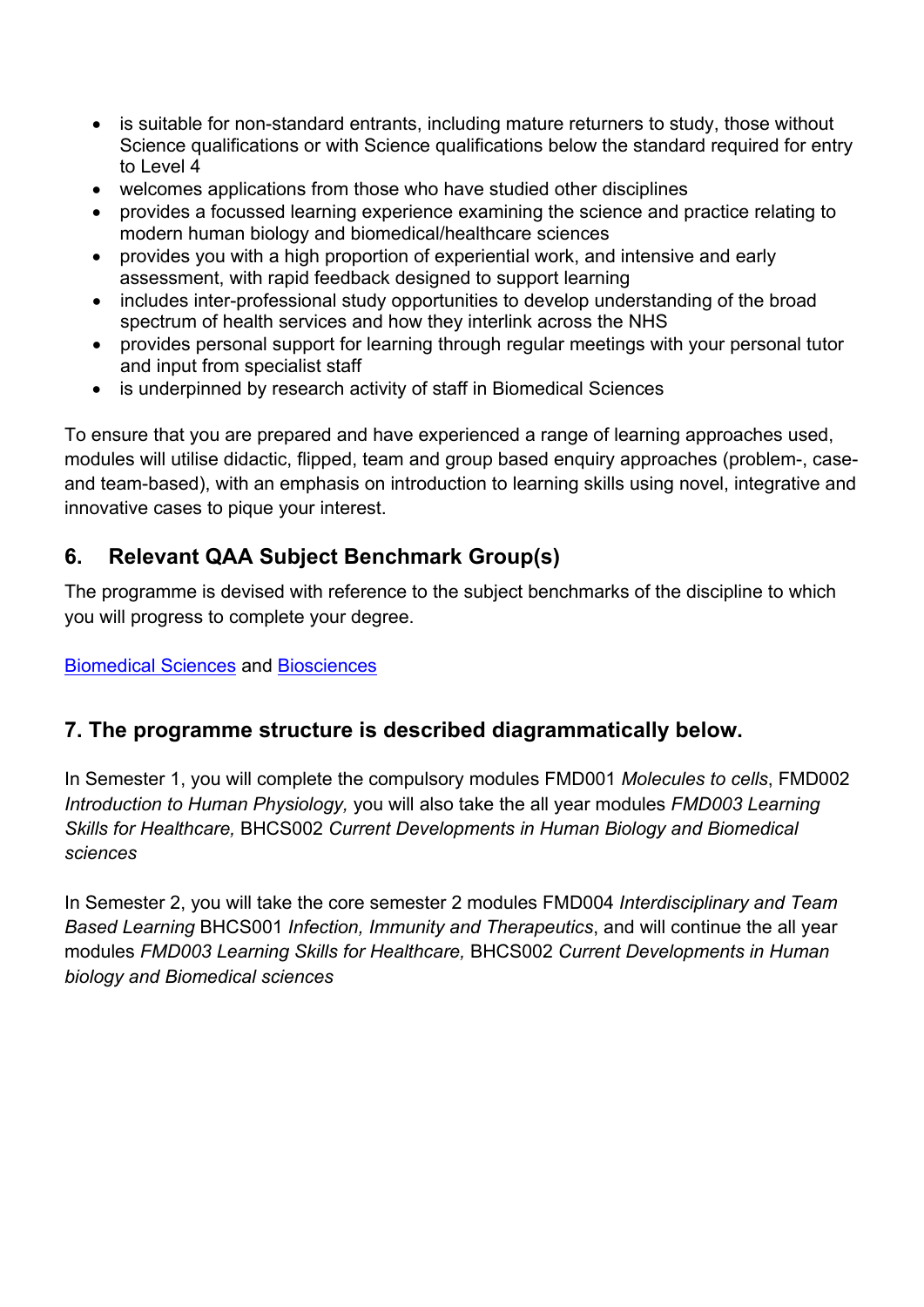- is suitable for non-standard entrants, including mature returners to study, those without Science qualifications or with Science qualifications below the standard required for entry to Level 4
- welcomes applications from those who have studied other disciplines
- provides a focussed learning experience examining the science and practice relating to modern human biology and biomedical/healthcare sciences
- provides you with a high proportion of experiential work, and intensive and early assessment, with rapid feedback designed to support learning
- includes inter-professional study opportunities to develop understanding of the broad spectrum of health services and how they interlink across the NHS
- provides personal support for learning through regular meetings with your personal tutor and input from specialist staff
- is underpinned by research activity of staff in Biomedical Sciences

To ensure that you are prepared and have experienced a range of learning approaches used, modules will utilise didactic, flipped, team and group based enquiry approaches (problem-, caseand team-based), with an emphasis on introduction to learning skills using novel, integrative and innovative cases to pique your interest.

# **6. Relevant QAA Subject Benchmark Group(s)**

The programme is devised with reference to the subject benchmarks of the discipline to which you will progress to complete your degree.

### [Biomedical Sciences](http://www.qaa.ac.uk/en/Publications/Documents/SBS-Biomedical-sciences-consultation-15.pdf) and [Biosciences](http://www.qaa.ac.uk/en/Publications/Documents/SBS-Biosciences-15.pdf)

## **7. The programme structure is described diagrammatically below.**

In Semester 1, you will complete the compulsory modules FMD001 *Molecules to cells*, FMD002 *Introduction to Human Physiology,* you will also take the all year modules *FMD003 Learning Skills for Healthcare,* BHCS002 *Current Developments in Human Biology and Biomedical sciences* 

In Semester 2, you will take the core semester 2 modules FMD004 *Interdisciplinary and Team Based Learning* BHCS001 *Infection, Immunity and Therapeutics*, and will continue the all year modules *FMD003 Learning Skills for Healthcare,* BHCS002 *Current Developments in Human biology and Biomedical sciences*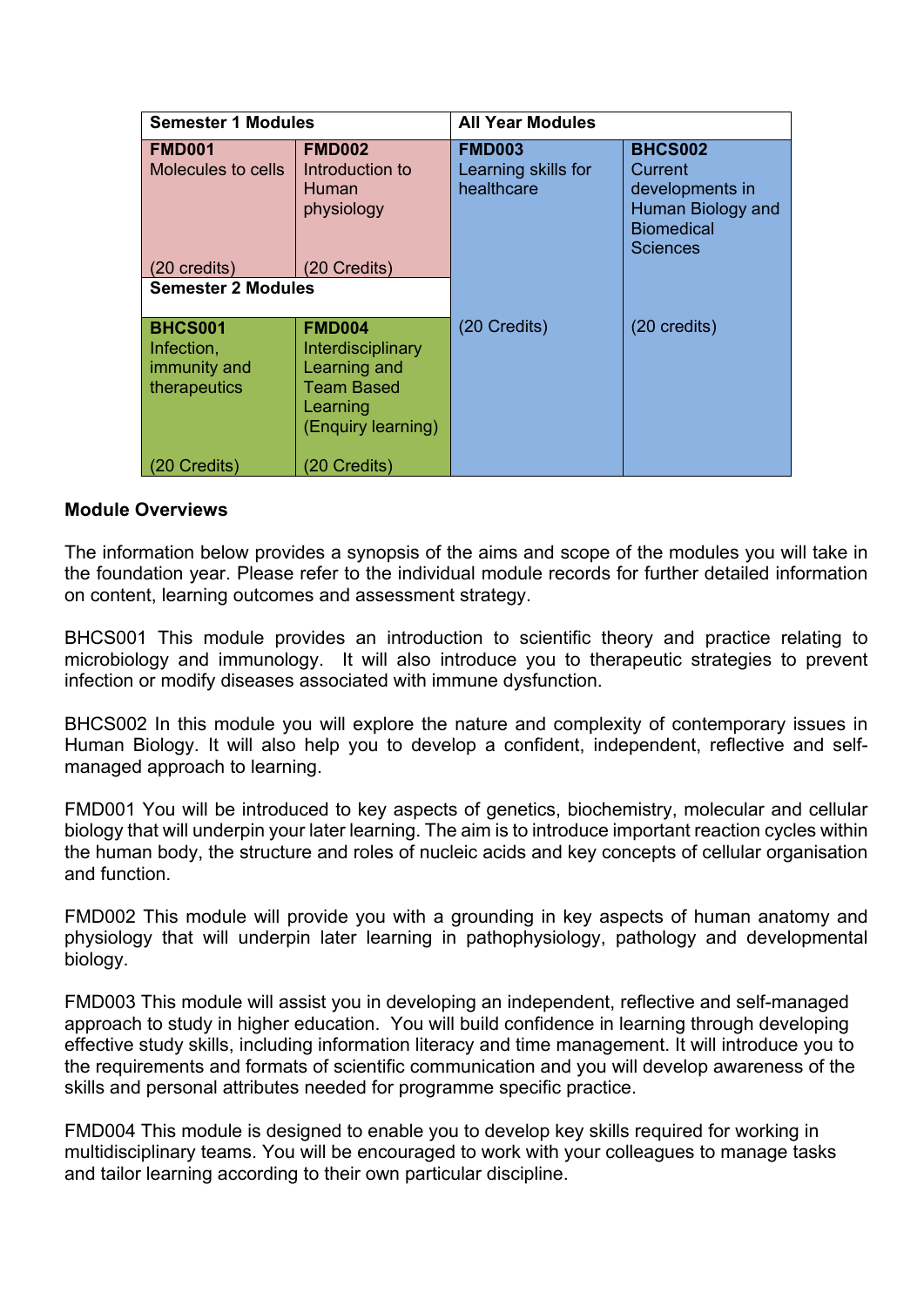| <b>Semester 1 Modules</b>                                    |                                                                                                                  | <b>All Year Modules</b>                            |                                                                                                           |  |  |  |  |
|--------------------------------------------------------------|------------------------------------------------------------------------------------------------------------------|----------------------------------------------------|-----------------------------------------------------------------------------------------------------------|--|--|--|--|
| <b>FMD001</b><br>Molecules to cells                          | <b>FMD002</b><br>Introduction to<br>Human<br>physiology                                                          | <b>FMD003</b><br>Learning skills for<br>healthcare | <b>BHCS002</b><br>Current<br>developments in<br>Human Biology and<br><b>Biomedical</b><br><b>Sciences</b> |  |  |  |  |
| 20 credits)                                                  | (20 Credits)                                                                                                     |                                                    |                                                                                                           |  |  |  |  |
| <b>Semester 2 Modules</b>                                    |                                                                                                                  |                                                    |                                                                                                           |  |  |  |  |
| <b>BHCS001</b><br>Infection,<br>immunity and<br>therapeutics | <b>FMD004</b><br>Interdisciplinary<br><b>Learning and</b><br><b>Team Based</b><br>Learning<br>(Enquiry learning) | (20 Credits)                                       | (20 credits)                                                                                              |  |  |  |  |
| 0 Credits)                                                   | (20 Credits)                                                                                                     |                                                    |                                                                                                           |  |  |  |  |

#### **Module Overviews**

The information below provides a synopsis of the aims and scope of the modules you will take in the foundation year. Please refer to the individual module records for further detailed information on content, learning outcomes and assessment strategy.

BHCS001 This module provides an introduction to scientific theory and practice relating to microbiology and immunology. It will also introduce you to therapeutic strategies to prevent infection or modify diseases associated with immune dysfunction.

BHCS002 In this module you will explore the nature and complexity of contemporary issues in Human Biology. It will also help you to develop a confident, independent, reflective and selfmanaged approach to learning.

FMD001 You will be introduced to key aspects of genetics, biochemistry, molecular and cellular biology that will underpin your later learning. The aim is to introduce important reaction cycles within the human body, the structure and roles of nucleic acids and key concepts of cellular organisation and function.

FMD002 This module will provide you with a grounding in key aspects of human anatomy and physiology that will underpin later learning in pathophysiology, pathology and developmental biology.

FMD003 This module will assist you in developing an independent, reflective and self-managed approach to study in higher education. You will build confidence in learning through developing effective study skills, including information literacy and time management. It will introduce you to the requirements and formats of scientific communication and you will develop awareness of the skills and personal attributes needed for programme specific practice.

FMD004 This module is designed to enable you to develop key skills required for working in multidisciplinary teams. You will be encouraged to work with your colleagues to manage tasks and tailor learning according to their own particular discipline.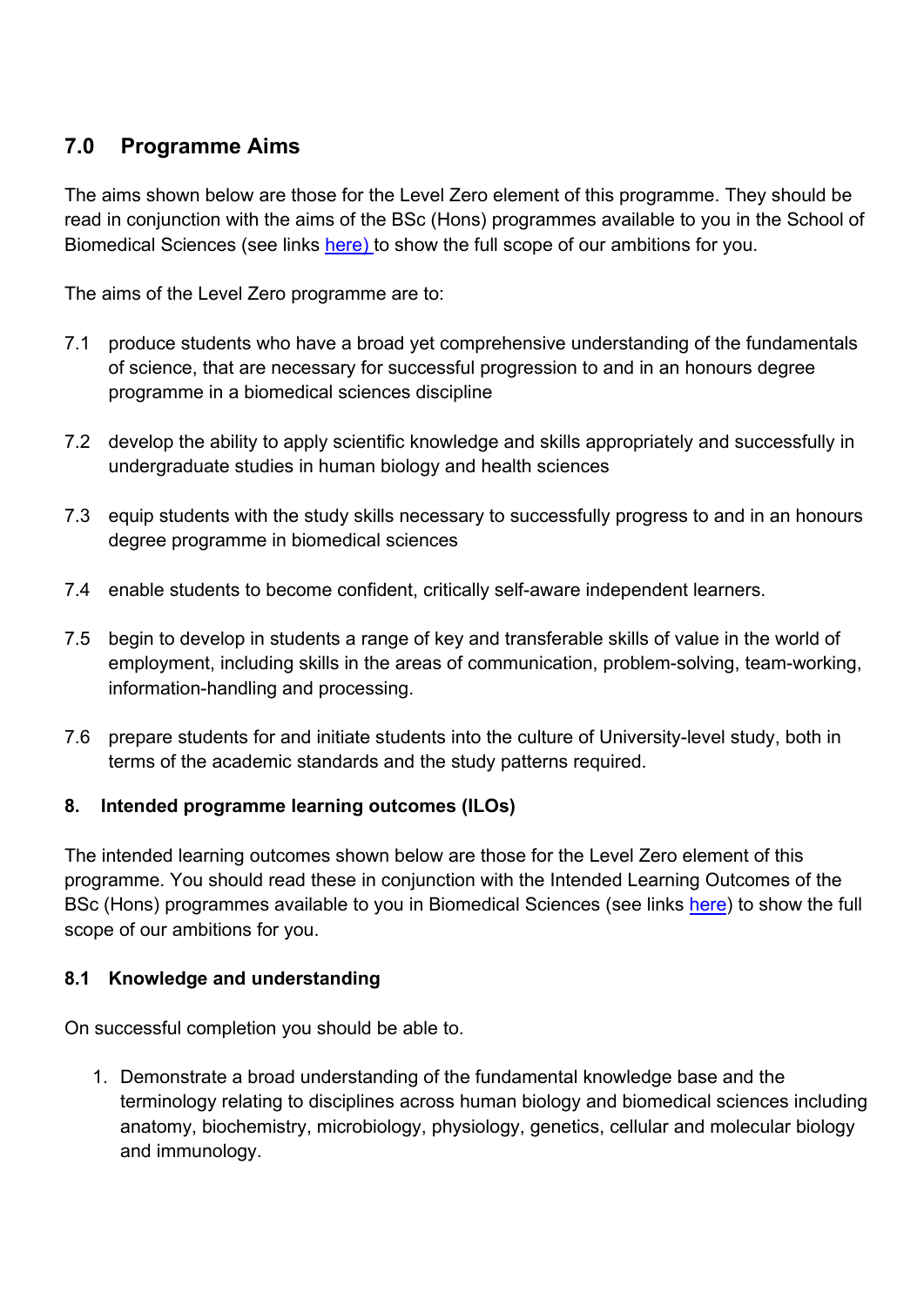# **7.0 Programme Aims**

The aims shown below are those for the Level Zero element of this programme. They should be read in conjunction with the aims of the BSc (Hons) programmes available to you in the School of Biomedical Sciences (see links [here\)](https://www.plymouth.ac.uk/schools/school-of-biomedical-and-healthcare-sciences) to show the full scope of our ambitions for you.

The aims of the Level Zero programme are to:

- 7.1 produce students who have a broad yet comprehensive understanding of the fundamentals of science, that are necessary for successful progression to and in an honours degree programme in a biomedical sciences discipline
- 7.2 develop the ability to apply scientific knowledge and skills appropriately and successfully in undergraduate studies in human biology and health sciences
- 7.3 equip students with the study skills necessary to successfully progress to and in an honours degree programme in biomedical sciences
- 7.4 enable students to become confident, critically self-aware independent learners.
- 7.5 begin to develop in students a range of key and transferable skills of value in the world of employment, including skills in the areas of communication, problem-solving, team-working, information-handling and processing.
- 7.6 prepare students for and initiate students into the culture of University-level study, both in terms of the academic standards and the study patterns required.

### **8. Intended programme learning outcomes (ILOs)**

The intended learning outcomes shown below are those for the Level Zero element of this programme. You should read these in conjunction with the Intended Learning Outcomes of the BSc (Hons) programmes available to you in Biomedical Sciences (see links [here\)](https://www.plymouth.ac.uk/schools/school-of-biomedical-and-healthcare-sciences) to show the full scope of our ambitions for you.

### **8.1 Knowledge and understanding**

On successful completion you should be able to.

1. Demonstrate a broad understanding of the fundamental knowledge base and the terminology relating to disciplines across human biology and biomedical sciences including anatomy, biochemistry, microbiology, physiology, genetics, cellular and molecular biology and immunology.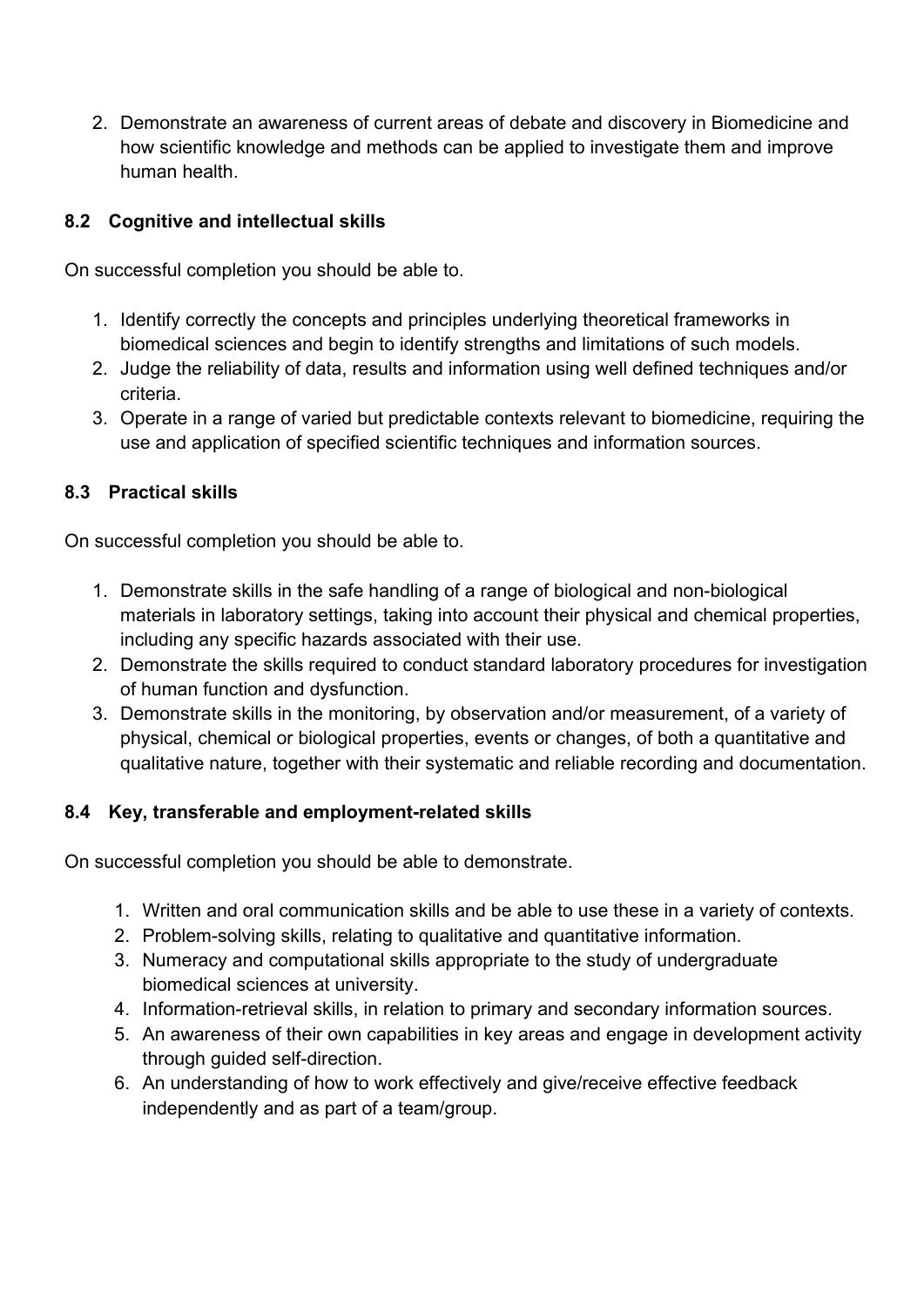2. Demonstrate an awareness of current areas of debate and discovery in Biomedicine and how scientific knowledge and methods can be applied to investigate them and improve human health.

### **8.2 Cognitive and intellectual skills**

On successful completion you should be able to.

- 1. Identify correctly the concepts and principles underlying theoretical frameworks in biomedical sciences and begin to identify strengths and limitations of such models.
- 2. Judge the reliability of data, results and information using well defined techniques and/or criteria.
- 3. Operate in a range of varied but predictable contexts relevant to biomedicine, requiring the use and application of specified scientific techniques and information sources.

## **8.3 Practical skills**

On successful completion you should be able to.

- 1. Demonstrate skills in the safe handling of a range of biological and non-biological materials in laboratory settings, taking into account their physical and chemical properties, including any specific hazards associated with their use.
- 2. Demonstrate the skills required to conduct standard laboratory procedures for investigation of human function and dysfunction.
- 3. Demonstrate skills in the monitoring, by observation and/or measurement, of a variety of physical, chemical or biological properties, events or changes, of both a quantitative and qualitative nature, together with their systematic and reliable recording and documentation.

## **8.4 Key, transferable and employment-related skills**

On successful completion you should be able to demonstrate.

- 1. Written and oral communication skills and be able to use these in a variety of contexts.
- 2. Problem-solving skills, relating to qualitative and quantitative information.
- 3. Numeracy and computational skills appropriate to the study of undergraduate biomedical sciences at university.
- 4. Information-retrieval skills, in relation to primary and secondary information sources.
- 5. An awareness of their own capabilities in key areas and engage in development activity through guided self-direction.
- 6. An understanding of how to work effectively and give/receive effective feedback independently and as part of a team/group.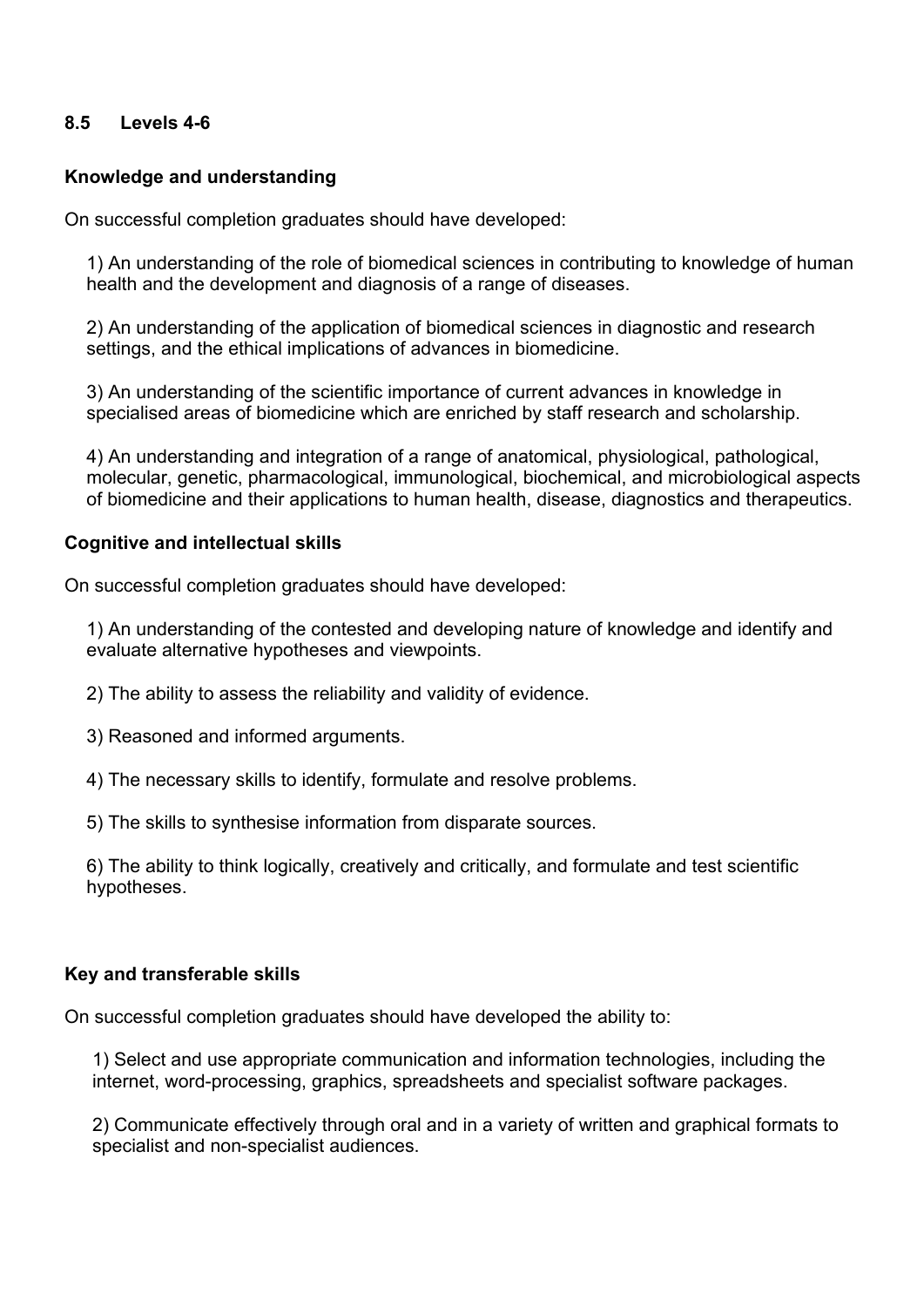### **8.5 Levels 4-6**

### **Knowledge and understanding**

On successful completion graduates should have developed:

1) An understanding of the role of biomedical sciences in contributing to knowledge of human health and the development and diagnosis of a range of diseases.

2) An understanding of the application of biomedical sciences in diagnostic and research settings, and the ethical implications of advances in biomedicine.

3) An understanding of the scientific importance of current advances in knowledge in specialised areas of biomedicine which are enriched by staff research and scholarship.

4) An understanding and integration of a range of anatomical, physiological, pathological, molecular, genetic, pharmacological, immunological, biochemical, and microbiological aspects of biomedicine and their applications to human health, disease, diagnostics and therapeutics.

#### **Cognitive and intellectual skills**

On successful completion graduates should have developed:

1) An understanding of the contested and developing nature of knowledge and identify and evaluate alternative hypotheses and viewpoints.

- 2) The ability to assess the reliability and validity of evidence.
- 3) Reasoned and informed arguments.
- 4) The necessary skills to identify, formulate and resolve problems.

5) The skills to synthesise information from disparate sources.

6) The ability to think logically, creatively and critically, and formulate and test scientific hypotheses.

#### **Key and transferable skills**

On successful completion graduates should have developed the ability to:

1) Select and use appropriate communication and information technologies, including the internet, word-processing, graphics, spreadsheets and specialist software packages.

2) Communicate effectively through oral and in a variety of written and graphical formats to specialist and non-specialist audiences.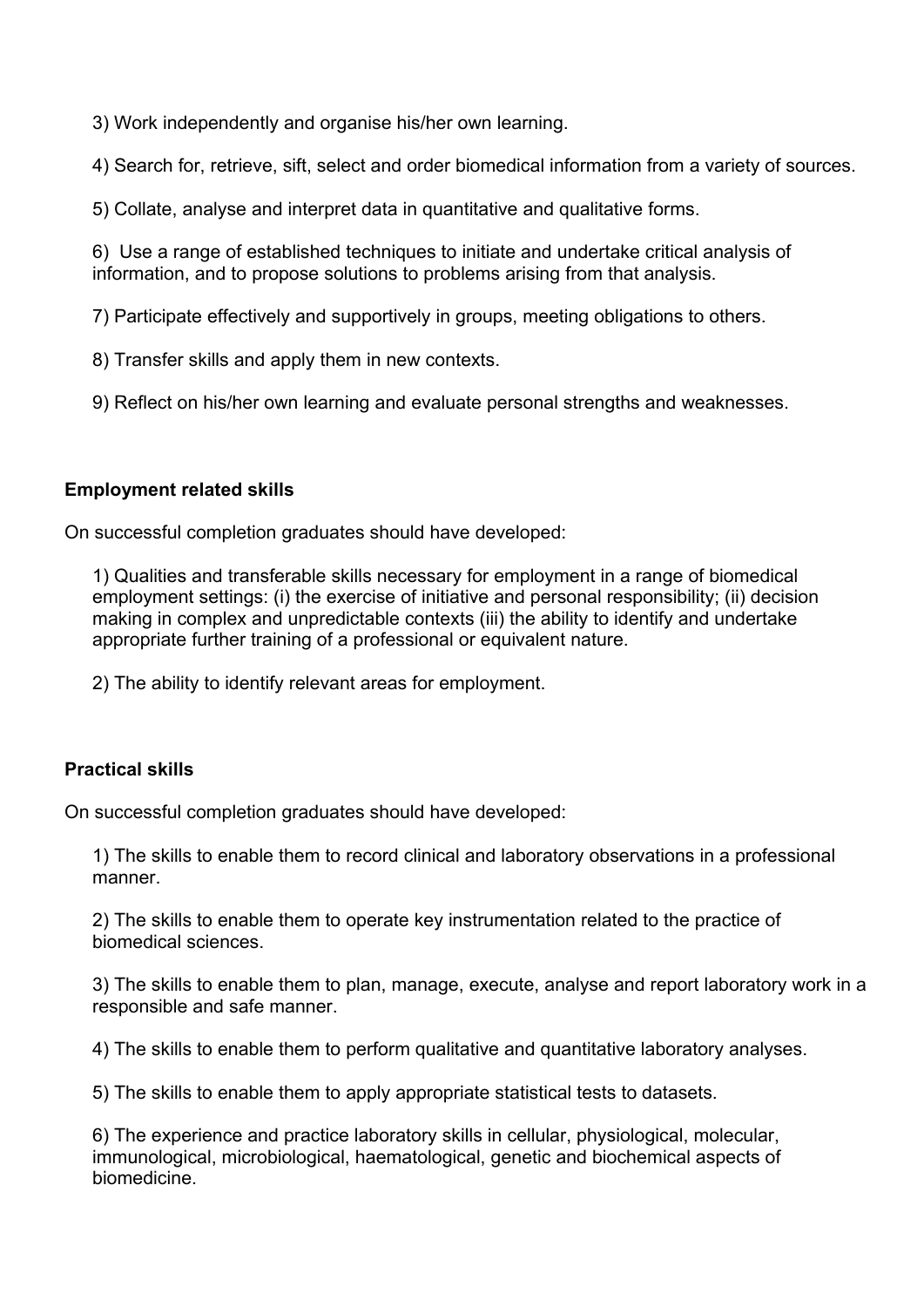3) Work independently and organise his/her own learning.

4) Search for, retrieve, sift, select and order biomedical information from a variety of sources.

5) Collate, analyse and interpret data in quantitative and qualitative forms.

6) Use a range of established techniques to initiate and undertake critical analysis of information, and to propose solutions to problems arising from that analysis.

7) Participate effectively and supportively in groups, meeting obligations to others.

8) Transfer skills and apply them in new contexts.

9) Reflect on his/her own learning and evaluate personal strengths and weaknesses.

### **Employment related skills**

On successful completion graduates should have developed:

1) Qualities and transferable skills necessary for employment in a range of biomedical employment settings: (i) the exercise of initiative and personal responsibility; (ii) decision making in complex and unpredictable contexts (iii) the ability to identify and undertake appropriate further training of a professional or equivalent nature.

2) The ability to identify relevant areas for employment.

### **Practical skills**

On successful completion graduates should have developed:

1) The skills to enable them to record clinical and laboratory observations in a professional manner.

2) The skills to enable them to operate key instrumentation related to the practice of biomedical sciences.

3) The skills to enable them to plan, manage, execute, analyse and report laboratory work in a responsible and safe manner.

4) The skills to enable them to perform qualitative and quantitative laboratory analyses.

5) The skills to enable them to apply appropriate statistical tests to datasets.

6) The experience and practice laboratory skills in cellular, physiological, molecular, immunological, microbiological, haematological, genetic and biochemical aspects of biomedicine.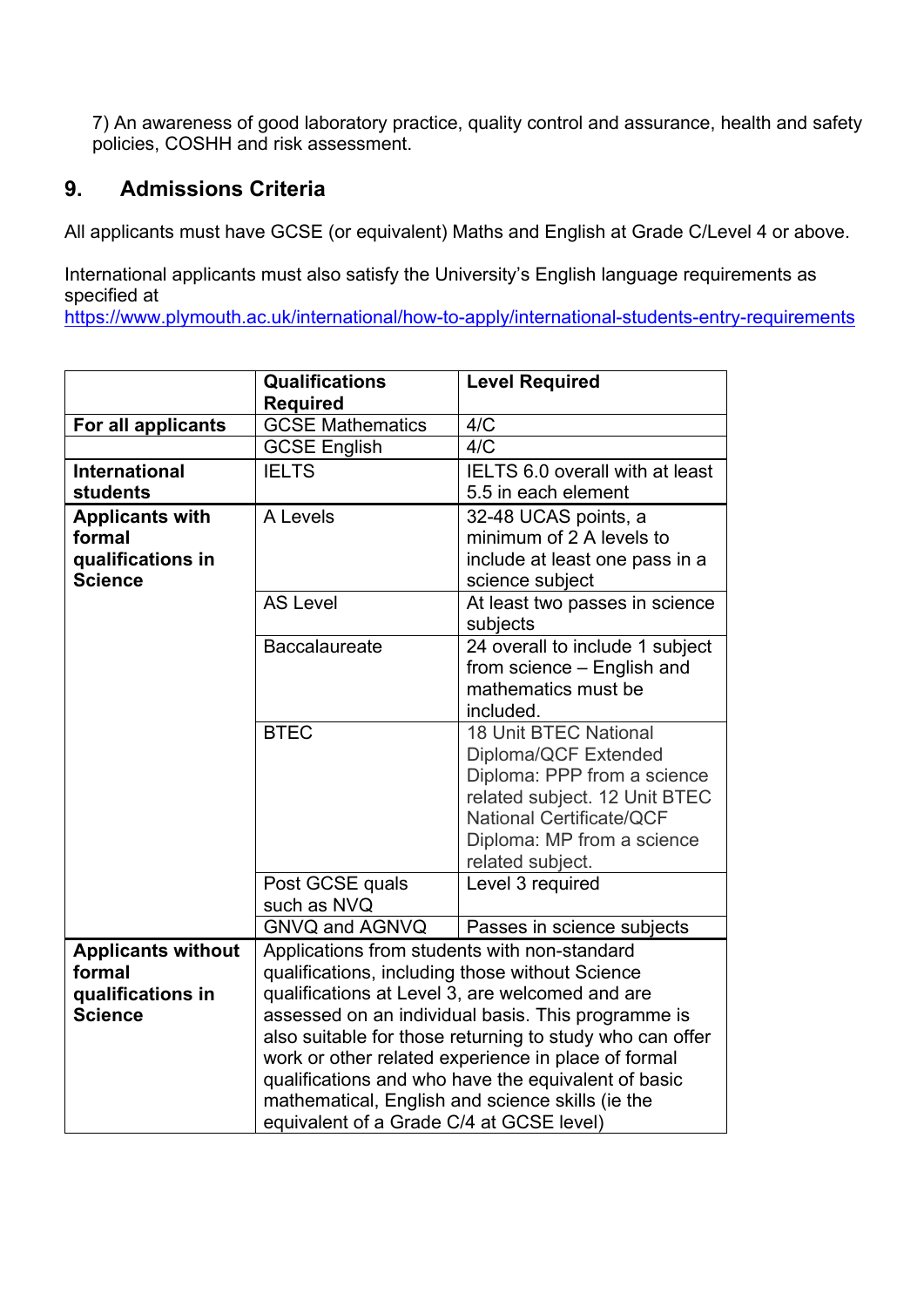7) An awareness of good laboratory practice, quality control and assurance, health and safety policies, COSHH and risk assessment.

## **9. Admissions Criteria**

All applicants must have GCSE (or equivalent) Maths and English at Grade C/Level 4 or above.

International applicants must also satisfy the University's English language requirements as specified at

<https://www.plymouth.ac.uk/international/how-to-apply/international-students-entry-requirements>

|                           | <b>Qualifications</b><br><b>Level Required</b>           |                                 |  |  |  |  |  |  |  |
|---------------------------|----------------------------------------------------------|---------------------------------|--|--|--|--|--|--|--|
|                           | <b>Required</b>                                          |                                 |  |  |  |  |  |  |  |
| For all applicants        | <b>GCSE Mathematics</b>                                  | 4/C                             |  |  |  |  |  |  |  |
|                           | <b>GCSE English</b>                                      | 4/C                             |  |  |  |  |  |  |  |
| <b>International</b>      | <b>IELTS</b>                                             | IELTS 6.0 overall with at least |  |  |  |  |  |  |  |
| <b>students</b>           |                                                          | 5.5 in each element             |  |  |  |  |  |  |  |
| <b>Applicants with</b>    | A Levels                                                 | 32-48 UCAS points, a            |  |  |  |  |  |  |  |
| formal                    |                                                          | minimum of 2 A levels to        |  |  |  |  |  |  |  |
| qualifications in         |                                                          | include at least one pass in a  |  |  |  |  |  |  |  |
| <b>Science</b>            |                                                          | science subject                 |  |  |  |  |  |  |  |
|                           | <b>AS Level</b>                                          | At least two passes in science  |  |  |  |  |  |  |  |
|                           |                                                          | subjects                        |  |  |  |  |  |  |  |
|                           | <b>Baccalaureate</b>                                     | 24 overall to include 1 subject |  |  |  |  |  |  |  |
|                           |                                                          | from science - English and      |  |  |  |  |  |  |  |
|                           |                                                          | mathematics must be             |  |  |  |  |  |  |  |
|                           |                                                          | included.                       |  |  |  |  |  |  |  |
|                           | <b>BTEC</b>                                              | <b>18 Unit BTEC National</b>    |  |  |  |  |  |  |  |
|                           | Diploma/QCF Extended                                     |                                 |  |  |  |  |  |  |  |
|                           | Diploma: PPP from a science                              |                                 |  |  |  |  |  |  |  |
|                           | related subject. 12 Unit BTEC                            |                                 |  |  |  |  |  |  |  |
|                           | <b>National Certificate/QCF</b>                          |                                 |  |  |  |  |  |  |  |
|                           |                                                          | Diploma: MP from a science      |  |  |  |  |  |  |  |
|                           |                                                          | related subject.                |  |  |  |  |  |  |  |
|                           | Post GCSE quals                                          | Level 3 required                |  |  |  |  |  |  |  |
|                           | such as NVQ                                              |                                 |  |  |  |  |  |  |  |
|                           | <b>GNVQ and AGNVQ</b>                                    | Passes in science subjects      |  |  |  |  |  |  |  |
| <b>Applicants without</b> | Applications from students with non-standard             |                                 |  |  |  |  |  |  |  |
| formal                    | qualifications, including those without Science          |                                 |  |  |  |  |  |  |  |
| qualifications in         | qualifications at Level 3, are welcomed and are          |                                 |  |  |  |  |  |  |  |
| <b>Science</b>            | assessed on an individual basis. This programme is       |                                 |  |  |  |  |  |  |  |
|                           | also suitable for those returning to study who can offer |                                 |  |  |  |  |  |  |  |
|                           | work or other related experience in place of formal      |                                 |  |  |  |  |  |  |  |
|                           | qualifications and who have the equivalent of basic      |                                 |  |  |  |  |  |  |  |
|                           | mathematical, English and science skills (ie the         |                                 |  |  |  |  |  |  |  |
|                           | equivalent of a Grade C/4 at GCSE level)                 |                                 |  |  |  |  |  |  |  |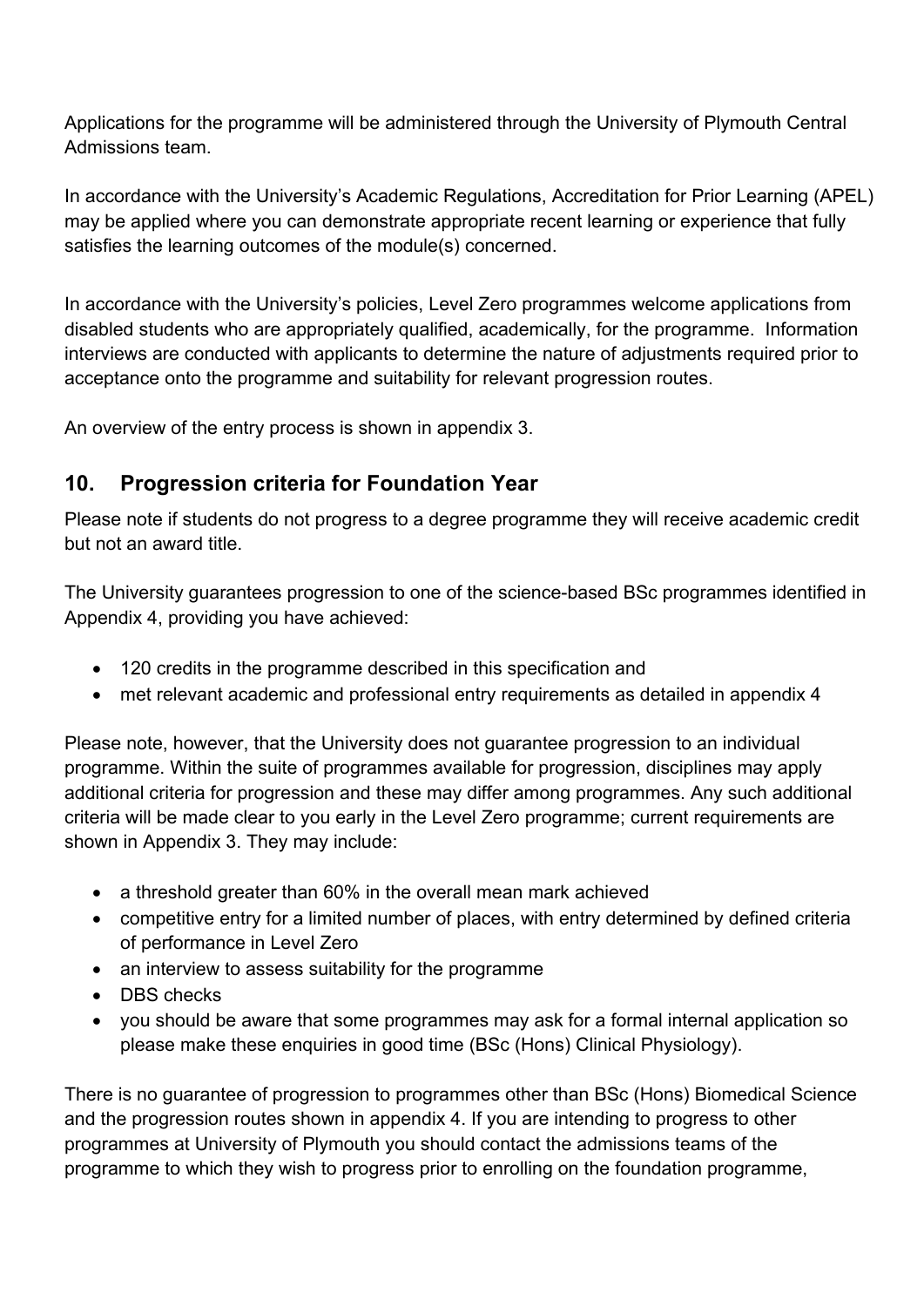Applications for the programme will be administered through the University of Plymouth Central Admissions team.

In accordance with the University's Academic Regulations, Accreditation for Prior Learning (APEL) may be applied where you can demonstrate appropriate recent learning or experience that fully satisfies the learning outcomes of the module(s) concerned.

In accordance with the University's policies, Level Zero programmes welcome applications from disabled students who are appropriately qualified, academically, for the programme. Information interviews are conducted with applicants to determine the nature of adjustments required prior to acceptance onto the programme and suitability for relevant progression routes.

An overview of the entry process is shown in appendix 3.

## **10. Progression criteria for Foundation Year**

Please note if students do not progress to a degree programme they will receive academic credit but not an award title.

The University guarantees progression to one of the science-based BSc programmes identified in Appendix 4, providing you have achieved:

- 120 credits in the programme described in this specification and
- met relevant academic and professional entry requirements as detailed in appendix 4

Please note, however, that the University does not guarantee progression to an individual programme. Within the suite of programmes available for progression, disciplines may apply additional criteria for progression and these may differ among programmes. Any such additional criteria will be made clear to you early in the Level Zero programme; current requirements are shown in Appendix 3. They may include:

- a threshold greater than 60% in the overall mean mark achieved
- competitive entry for a limited number of places, with entry determined by defined criteria of performance in Level Zero
- an interview to assess suitability for the programme
- DBS checks
- you should be aware that some programmes may ask for a formal internal application so please make these enquiries in good time (BSc (Hons) Clinical Physiology).

There is no guarantee of progression to programmes other than BSc (Hons) Biomedical Science and the progression routes shown in appendix 4. If you are intending to progress to other programmes at University of Plymouth you should contact the admissions teams of the programme to which they wish to progress prior to enrolling on the foundation programme,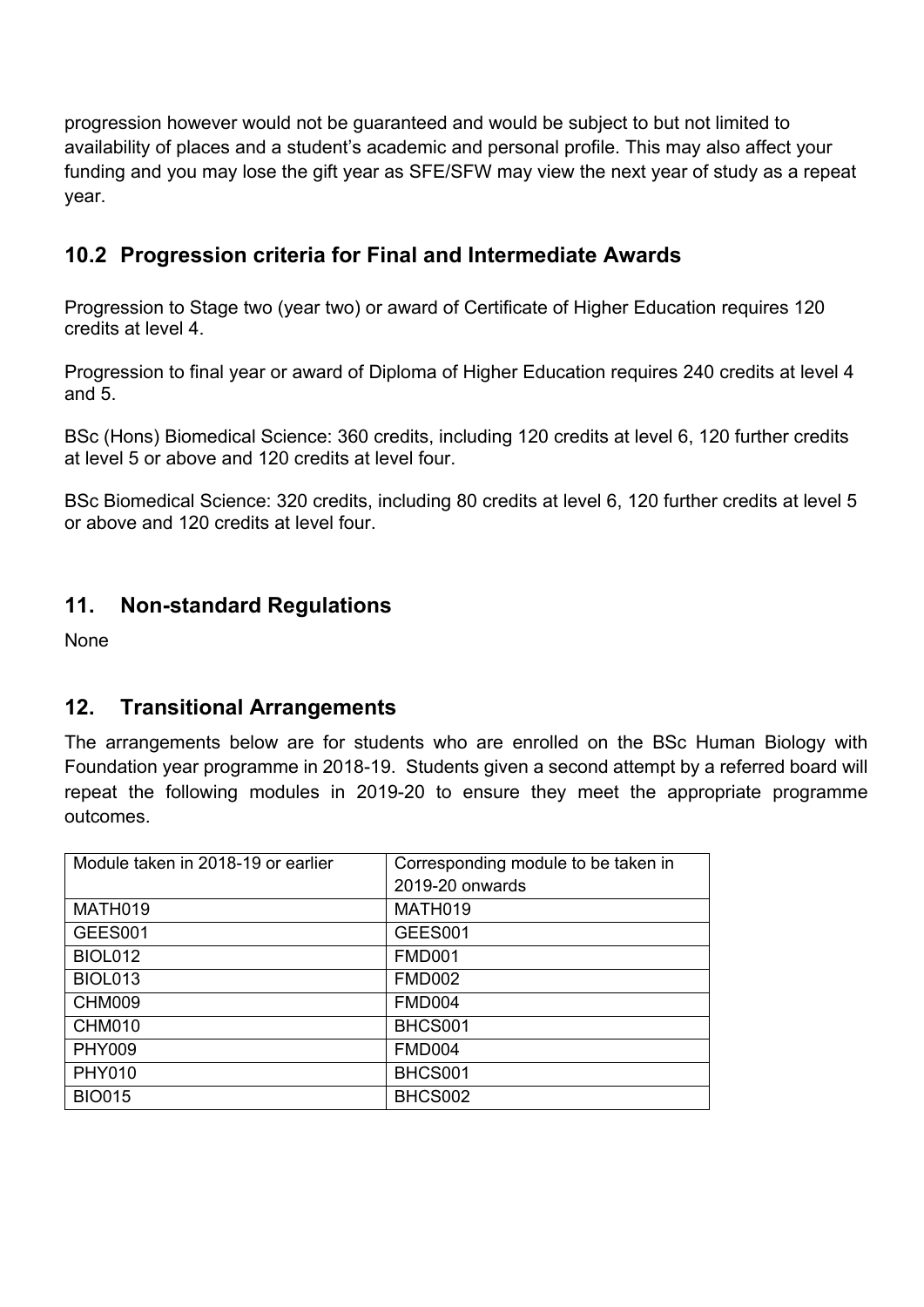progression however would not be guaranteed and would be subject to but not limited to availability of places and a student's academic and personal profile. This may also affect your funding and you may lose the gift year as SFE/SFW may view the next year of study as a repeat year.

# **10.2 Progression criteria for Final and Intermediate Awards**

Progression to Stage two (year two) or award of Certificate of Higher Education requires 120 credits at level 4.

Progression to final year or award of Diploma of Higher Education requires 240 credits at level 4 and 5.

BSc (Hons) Biomedical Science: 360 credits, including 120 credits at level 6, 120 further credits at level 5 or above and 120 credits at level four.

BSc Biomedical Science: 320 credits, including 80 credits at level 6, 120 further credits at level 5 or above and 120 credits at level four.

## **11. Non-standard Regulations**

None

## **12. Transitional Arrangements**

The arrangements below are for students who are enrolled on the BSc Human Biology with Foundation year programme in 2018-19. Students given a second attempt by a referred board will repeat the following modules in 2019-20 to ensure they meet the appropriate programme outcomes.

| Module taken in 2018-19 or earlier | Corresponding module to be taken in |
|------------------------------------|-------------------------------------|
|                                    | 2019-20 onwards                     |
| MATH019                            | MATH019                             |
| GEES001                            | GEES001                             |
| <b>BIOL012</b>                     | <b>FMD001</b>                       |
| <b>BIOL013</b>                     | <b>FMD002</b>                       |
| <b>CHM009</b>                      | <b>FMD004</b>                       |
| <b>CHM010</b>                      | BHCS001                             |
| <b>PHY009</b>                      | <b>FMD004</b>                       |
| <b>PHY010</b>                      | BHCS001                             |
| <b>BIO015</b>                      | BHCS002                             |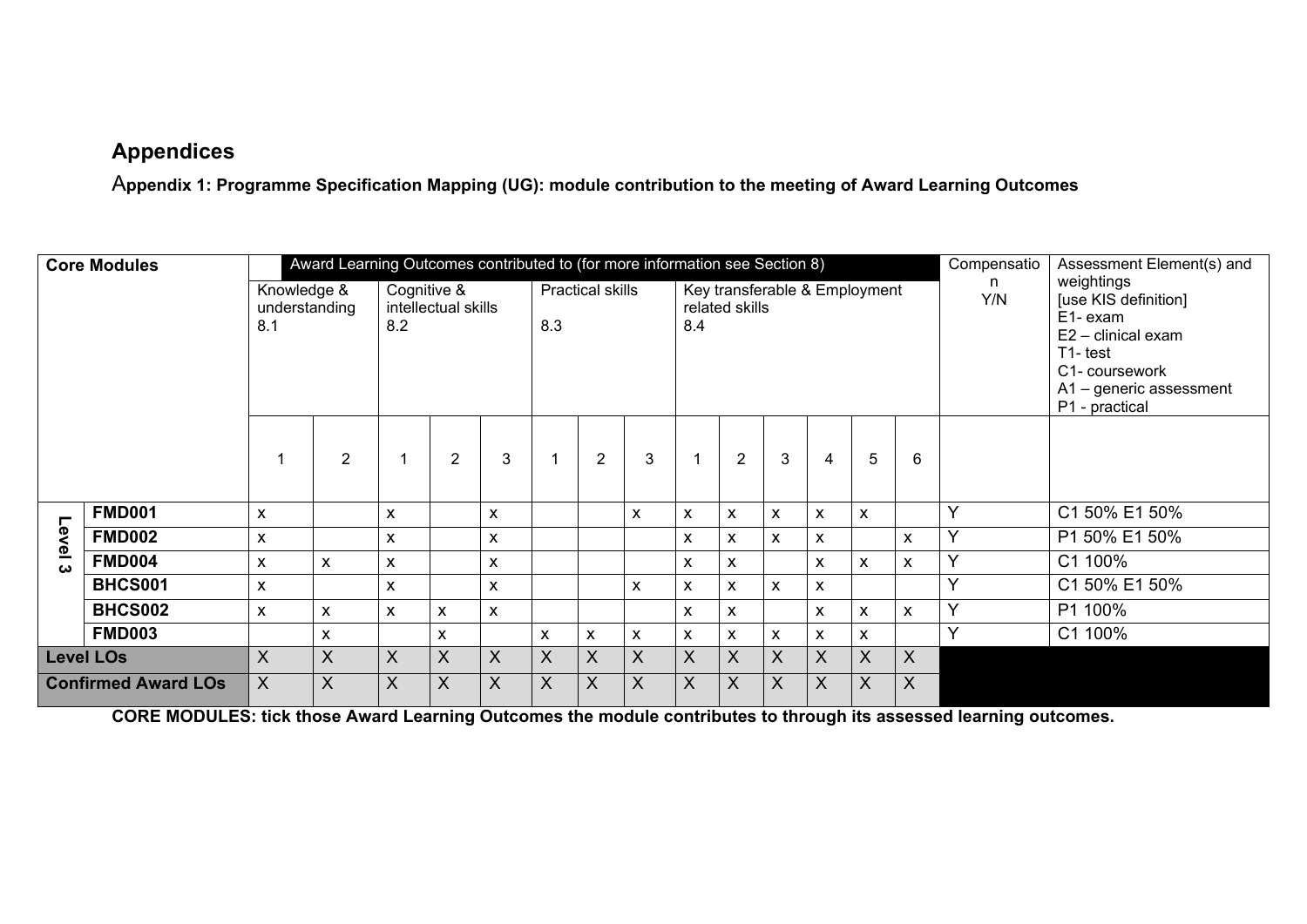## **Appendices**

A**ppendix 1: Programme Specification Mapping (UG): module contribution to the meeting of Award Learning Outcomes** 

| <b>Core Modules</b> |                            |                                     |                | Award Learning Outcomes contributed to (for more information see Section 8) |                           |                           |         |                                                                                   |   |    |                           | Compensatio                                                                                                                                   | Assessment Element(s) and |         |    |              |               |
|---------------------|----------------------------|-------------------------------------|----------------|-----------------------------------------------------------------------------|---------------------------|---------------------------|---------|-----------------------------------------------------------------------------------|---|----|---------------------------|-----------------------------------------------------------------------------------------------------------------------------------------------|---------------------------|---------|----|--------------|---------------|
|                     |                            | Knowledge &<br>understanding<br>8.1 |                | Cognitive &<br>8.2                                                          | intellectual skills       |                           | 8.3     | <b>Practical skills</b><br>Key transferable & Employment<br>related skills<br>8.4 |   |    | n.<br>Y/N                 | weightings<br>[use KIS definition]<br>E1-exam<br>E2 - clinical exam<br>T1-test<br>C1- coursework<br>A1 - generic assessment<br>P1 - practical |                           |         |    |              |               |
|                     |                            |                                     | $\overline{2}$ |                                                                             | $\overline{2}$            | 3                         |         | $\overline{2}$                                                                    | 3 | -1 | $\overline{2}$            | $\mathbf{3}$                                                                                                                                  | 4                         | 5       | 6  |              |               |
| ┍                   | <b>FMD001</b>              | $\boldsymbol{\mathsf{x}}$           |                | X                                                                           |                           | $\boldsymbol{\mathsf{X}}$ |         |                                                                                   | X | X  | X                         | $\mathsf{x}$                                                                                                                                  | X                         | X       |    | $\checkmark$ | C1 50% E1 50% |
| evel 3              | <b>FMD002</b>              | X                                   |                | X                                                                           |                           | $\boldsymbol{\mathsf{X}}$ |         |                                                                                   |   | X  | X                         | $\mathsf{x}$                                                                                                                                  | X                         |         | X  | $\checkmark$ | P1 50% E1 50% |
|                     | <b>FMD004</b>              | X                                   | X              | X                                                                           |                           | $\boldsymbol{\mathsf{x}}$ |         |                                                                                   |   | X  | X                         |                                                                                                                                               | X                         | X       | X. | $\checkmark$ | C1 100%       |
|                     | <b>BHCS001</b>             | $\pmb{\mathsf{X}}$                  |                | X                                                                           |                           | $\boldsymbol{\mathsf{x}}$ |         |                                                                                   | X | X  | X                         | $\mathsf{x}$                                                                                                                                  | X                         |         |    | $\checkmark$ | C1 50% E1 50% |
|                     | <b>BHCS002</b>             | X                                   | X              | X                                                                           | X                         | $\boldsymbol{\mathsf{X}}$ |         |                                                                                   |   | X  | X                         |                                                                                                                                               | X                         | X       | X. | $\checkmark$ | P1 100%       |
|                     | <b>FMD003</b>              |                                     | X              |                                                                             | X                         |                           | X       | X                                                                                 | X | X  | X                         | X                                                                                                                                             | X                         | X       |    | $\vee$       | C1 100%       |
|                     | <b>Level LOs</b>           | X                                   | X              | X                                                                           | $\sf X$                   | $\mathsf{X}$              | $\sf X$ | X                                                                                 | X | X  | X                         | $\mathsf{X}$                                                                                                                                  | $\sf X$                   | $\sf X$ | X  |              |               |
|                     | <b>Confirmed Award LOs</b> |                                     | $\sf X$        | X                                                                           | $\boldsymbol{\mathsf{X}}$ | X                         | X       | $\sf X$                                                                           | X | X  | $\boldsymbol{\mathsf{X}}$ | X                                                                                                                                             | $\boldsymbol{\mathsf{X}}$ | $\sf X$ | X  |              |               |

**CORE MODULES: tick those Award Learning Outcomes the module contributes to through its assessed learning outcomes.**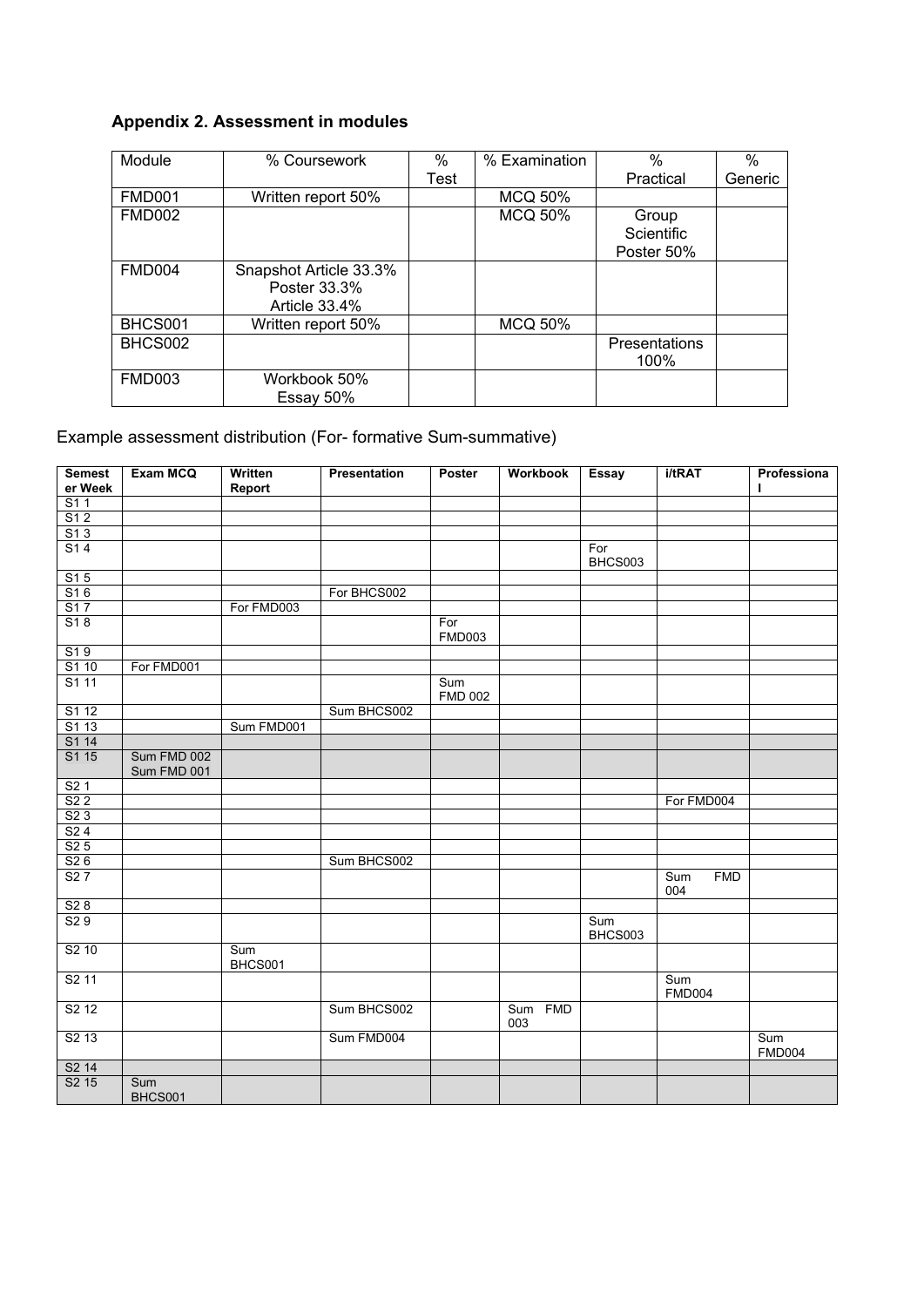## **Appendix 2. Assessment in modules**

| Module        | % Coursework           | %    | % Examination  | $\frac{0}{0}$        | $\%$    |
|---------------|------------------------|------|----------------|----------------------|---------|
|               |                        | Test |                | Practical            | Generic |
| <b>FMD001</b> | Written report 50%     |      | <b>MCQ 50%</b> |                      |         |
| <b>FMD002</b> |                        |      | <b>MCQ 50%</b> | Group                |         |
|               |                        |      |                | <b>Scientific</b>    |         |
|               |                        |      |                | Poster 50%           |         |
| <b>FMD004</b> | Snapshot Article 33.3% |      |                |                      |         |
|               | Poster 33.3%           |      |                |                      |         |
|               | Article 33.4%          |      |                |                      |         |
| BHCS001       | Written report 50%     |      | <b>MCQ 50%</b> |                      |         |
| BHCS002       |                        |      |                | <b>Presentations</b> |         |
|               |                        |      |                | 100%                 |         |
| <b>FMD003</b> | Workbook 50%           |      |                |                      |         |
|               | Essay 50%              |      |                |                      |         |

## Example assessment distribution (For- formative Sum-summative)

| <b>Semest</b><br>er Week      | Exam MCQ       | Written<br>Report | Presentation | Poster                | <b>Workbook</b> | <b>Essay</b>   | i/tRAT                   | Professiona<br>п     |
|-------------------------------|----------------|-------------------|--------------|-----------------------|-----------------|----------------|--------------------------|----------------------|
| S11                           |                |                   |              |                       |                 |                |                          |                      |
| S12                           |                |                   |              |                       |                 |                |                          |                      |
| S13                           |                |                   |              |                       |                 |                |                          |                      |
| S14                           |                |                   |              |                       |                 | For            |                          |                      |
|                               |                |                   |              |                       |                 | BHCS003        |                          |                      |
| S15                           |                |                   |              |                       |                 |                |                          |                      |
| S16                           |                |                   | For BHCS002  |                       |                 |                |                          |                      |
| S17                           |                | For FMD003        |              |                       |                 |                |                          |                      |
| S18                           |                |                   |              | For<br><b>FMD003</b>  |                 |                |                          |                      |
| S19                           |                |                   |              |                       |                 |                |                          |                      |
| S1 10                         | For FMD001     |                   |              |                       |                 |                |                          |                      |
| S1 11                         |                |                   |              | Sum<br><b>FMD 002</b> |                 |                |                          |                      |
| S1 12                         |                |                   | Sum BHCS002  |                       |                 |                |                          |                      |
| S1 13                         |                | Sum FMD001        |              |                       |                 |                |                          |                      |
| S1 14                         |                |                   |              |                       |                 |                |                          |                      |
| S1 15                         | Sum FMD 002    |                   |              |                       |                 |                |                          |                      |
|                               | Sum FMD 001    |                   |              |                       |                 |                |                          |                      |
| S <sub>2</sub> 1              |                |                   |              |                       |                 |                |                          |                      |
| S22                           |                |                   |              |                       |                 |                | For FMD004               |                      |
| S23                           |                |                   |              |                       |                 |                |                          |                      |
| S24                           |                |                   |              |                       |                 |                |                          |                      |
| S25                           |                |                   |              |                       |                 |                |                          |                      |
| S26                           |                |                   | Sum BHCS002  |                       |                 |                |                          |                      |
| S27                           |                |                   |              |                       |                 |                | <b>FMD</b><br>Sum<br>004 |                      |
| S28                           |                |                   |              |                       |                 |                |                          |                      |
| S29                           |                |                   |              |                       |                 | Sum<br>BHCS003 |                          |                      |
| S <sub>2</sub> 10             |                | Sum<br>BHCS001    |              |                       |                 |                |                          |                      |
| S <sub>2</sub> 11             |                |                   |              |                       |                 |                | Sum<br><b>FMD004</b>     |                      |
| S <sub>2</sub> 1 <sub>2</sub> |                |                   | Sum BHCS002  |                       | Sum FMD<br>003  |                |                          |                      |
| $S2$ 13                       |                |                   | Sum FMD004   |                       |                 |                |                          | sum<br><b>FMD004</b> |
| S <sub>2</sub> 14             |                |                   |              |                       |                 |                |                          |                      |
| $S2$ 15                       | Sum<br>BHCS001 |                   |              |                       |                 |                |                          |                      |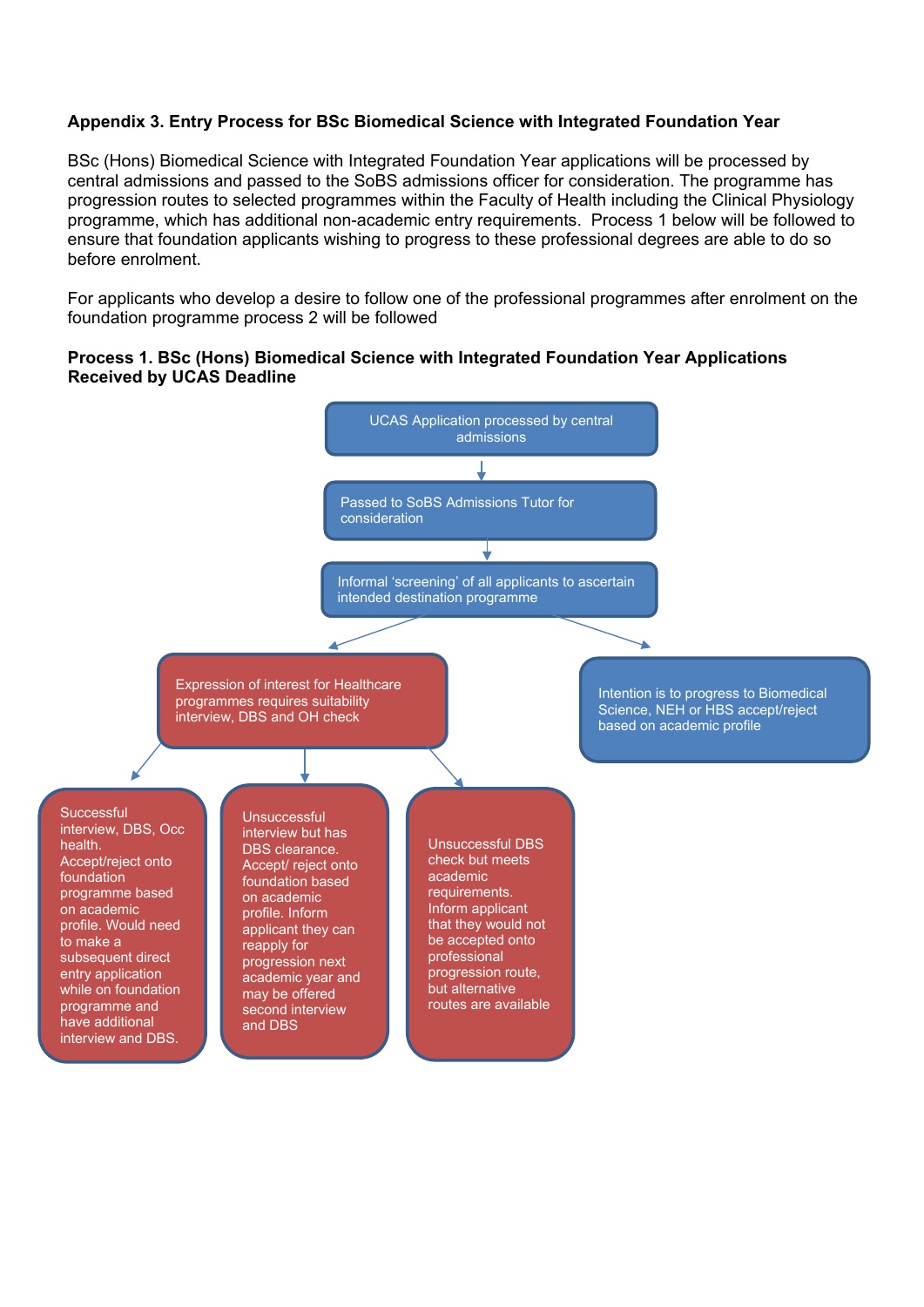#### **Appendix 3. Entry Process for BSc Biomedical Science with Integrated Foundation Year**

BSc (Hons) Biomedical Science with Integrated Foundation Year applications will be processed by central admissions and passed to the SoBS admissions officer for consideration. The programme has progression routes to selected programmes within the Faculty of Health including the Clinical Physiology programme, which has additional non-academic entry requirements. Process 1 below will be followed to ensure that foundation applicants wishing to progress to these professional degrees are able to do so before enrolment.

For applicants who develop a desire to follow one of the professional programmes after enrolment on the foundation programme process 2 will be followed

#### **Process 1. BSc (Hons) Biomedical Science with Integrated Foundation Year Applications Received by UCAS Deadline**

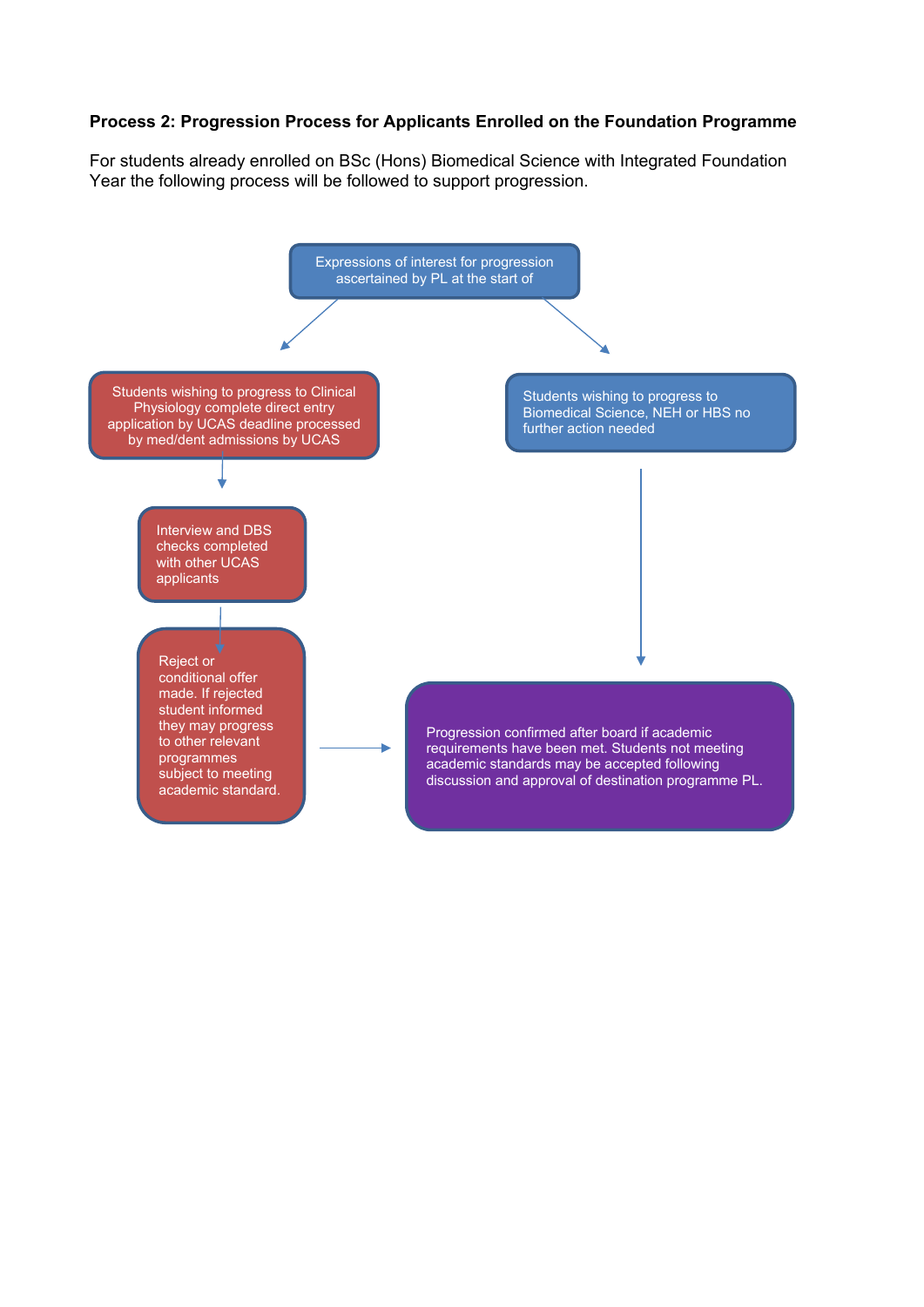#### **Process 2: Progression Process for Applicants Enrolled on the Foundation Programme**

For students already enrolled on BSc (Hons) Biomedical Science with Integrated Foundation Year the following process will be followed to support progression.